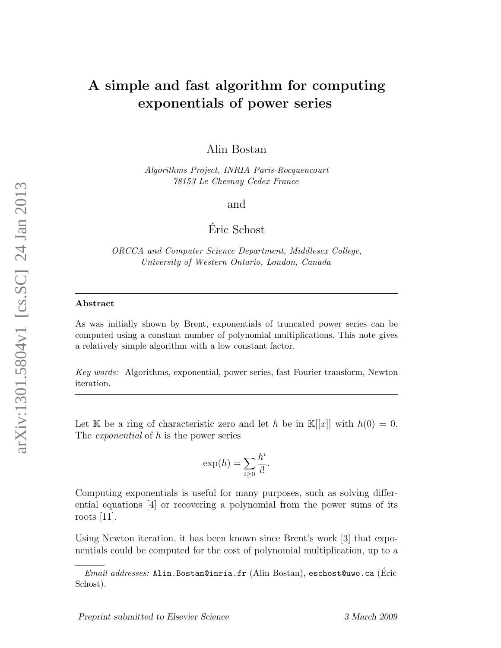## A simple and fast algorithm for computing exponentials of power series

Alin Bostan

Algorithms Project, INRIA Paris-Rocquencourt 78153 Le Chesnay Cedex France

and

Eric Schost ´

ORCCA and Computer Science Department, Middlesex College, University of Western Ontario, London, Canada

## Abstract

As was initially shown by Brent, exponentials of truncated power series can be computed using a constant number of polynomial multiplications. This note gives a relatively simple algorithm with a low constant factor.

Key words: Algorithms, exponential, power series, fast Fourier transform, Newton iteration.

Let K be a ring of characteristic zero and let h be in  $\mathbb{K}[[x]]$  with  $h(0) = 0$ . The *exponential* of h is the power series

$$
\exp(h) = \sum_{i \ge 0} \frac{h^i}{i!}.
$$

Computing exponentials is useful for many purposes, such as solving differential equations [4] or recovering a polynomial from the power sums of its roots [11].

Using Newton iteration, it has been known since Brent's work [3] that exponentials could be computed for the cost of polynomial multiplication, up to a

 $Email \ addresses: \text{Alin.}$ Bostan@inria.fr (Alin Bostan), eschost@uwo.ca (Éric Schost).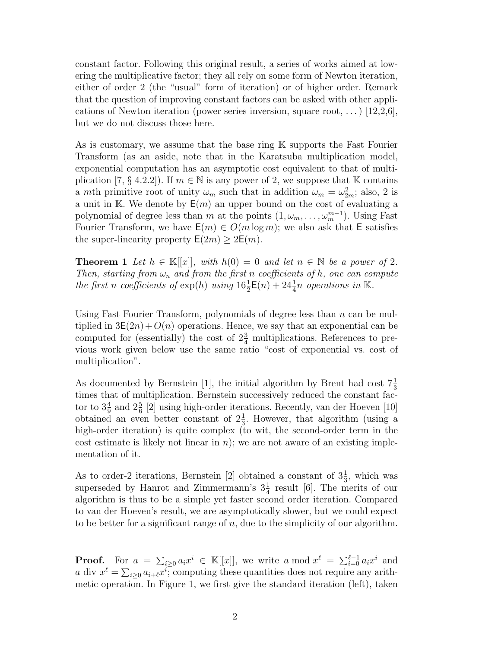constant factor. Following this original result, a series of works aimed at lowering the multiplicative factor; they all rely on some form of Newton iteration, either of order 2 (the "usual" form of iteration) or of higher order. Remark that the question of improving constant factors can be asked with other applications of Newton iteration (power series inversion, square root, ...) [12,2,6], but we do not discuss those here.

As is customary, we assume that the base ring K supports the Fast Fourier Transform (as an aside, note that in the Karatsuba multiplication model, exponential computation has an asymptotic cost equivalent to that of multiplication [7, § 4.2.2]). If  $m \in \mathbb{N}$  is any power of 2, we suppose that K contains a mth primitive root of unity  $\omega_m$  such that in addition  $\omega_m = \omega_{2m}^2$ ; also, 2 is a unit in K. We denote by  $E(m)$  an upper bound on the cost of evaluating a polynomial of degree less than m at the points  $(1, \omega_m, \dots, \omega_m^{m-1})$ . Using Fast Fourier Transform, we have  $E(m) \in O(m \log m)$ ; we also ask that E satisfies the super-linearity property  $E(2m) \geq 2E(m)$ .

**Theorem 1** Let  $h \in \mathbb{K}[[x]]$ , with  $h(0) = 0$  and let  $n \in \mathbb{N}$  be a power of 2. Then, starting from  $\omega_n$  and from the first n coefficients of h, one can compute the first n coefficients of  $\exp(h)$  using  $16\frac{1}{2}E(n) + 24\frac{1}{4}n$  operations in K.

Using Fast Fourier Transform, polynomials of degree less than  $n$  can be multiplied in  $3E(2n) + O(n)$  operations. Hence, we say that an exponential can be computed for (essentially) the cost of  $2\frac{3}{4}$  multiplications. References to previous work given below use the same ratio "cost of exponential vs. cost of multiplication".

As documented by Bernstein [1], the initial algorithm by Brent had cost  $7\frac{1}{3}$ times that of multiplication. Bernstein successively reduced the constant factor to  $3\frac{4}{9}$  and  $2\frac{5}{6}$  [2] using high-order iterations. Recently, van der Hoeven [10] obtained an even better constant of  $2\frac{1}{3}$ . However, that algorithm (using a high-order iteration) is quite complex (to wit, the second-order term in the cost estimate is likely not linear in  $n$ ); we are not aware of an existing implementation of it.

As to order-2 iterations, Bernstein [2] obtained a constant of  $3\frac{1}{3}$ , which was superseded by Hanrot and Zimmermann's  $3\frac{1}{4}$  result [6]. The merits of our algorithm is thus to be a simple yet faster second order iteration. Compared to van der Hoeven's result, we are asymptotically slower, but we could expect to be better for a significant range of  $n$ , due to the simplicity of our algorithm.

**Proof.** For  $a = \sum_{i\geq 0} a_i x^i \in \mathbb{K}[[x]]$ , we write a mod  $x^{\ell} = \sum_{i=0}^{\ell-1} a_i x^i$  and a div  $x^{\ell} = \sum_{i \geq 0} a_{i+\ell} x^i$ ; computing these quantities does not require any arithmetic operation. In Figure 1, we first give the standard iteration (left), taken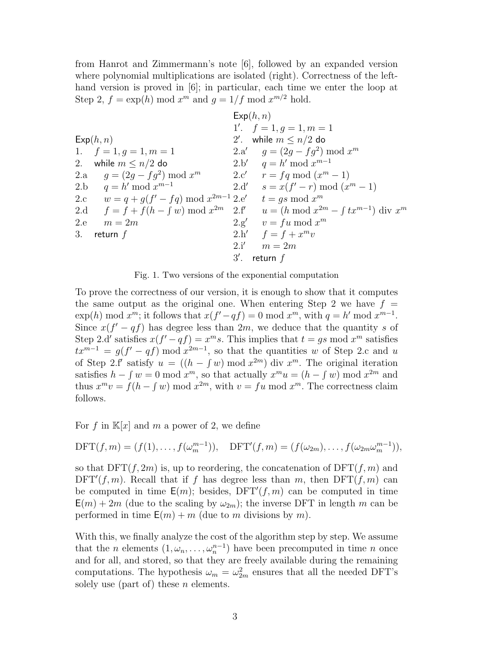from Hanrot and Zimmermann's note [6], followed by an expanded version where polynomial multiplications are isolated (right). Correctness of the lefthand version is proved in [6]; in particular, each time we enter the loop at Step 2,  $f = \exp(h) \mod x^m$  and  $g = 1/f \mod x^{m/2}$  hold.

|     |                                                                 |                | Exp(h, n)                                                                                               |
|-----|-----------------------------------------------------------------|----------------|---------------------------------------------------------------------------------------------------------|
|     |                                                                 |                | 1'. $f = 1, q = 1, m = 1$                                                                               |
|     | Exp(h, n)                                                       |                | 2'. while $m \leq n/2$ do                                                                               |
|     | 1. $f = 1, g = 1, m = 1$                                        |                | 2.a' $q = (2g - fg^2) \bmod x^m$                                                                        |
| 2.  | while $m \leq n/2$ do                                           |                | 2.b' $q = h' \mod x^{m-1}$                                                                              |
|     | 2.a $g = (2g - fg^2) \bmod x^m$                                 |                | 2.c' $r = fq \mod (x^m - 1)$                                                                            |
|     | 2.b $q = h' \bmod x^{m-1}$                                      |                | 2.d' $s = x(f' - r) \bmod (x^m - 1)$                                                                    |
|     | 2.c $w = q + q(f' - fq) \bmod x^{2m-1}$ 2.e' $t = gs \bmod x^m$ |                |                                                                                                         |
|     |                                                                 |                | 2.d $f = f + f(h - \int w) \bmod x^{2m}$ 2.f' $u = (h \bmod x^{2m} - \int tx^{m-1}) \, \text{div } x^m$ |
| 2.e | $m=2m$                                                          |                | $2.g'$ $v = fu \bmod x^m$                                                                               |
| 3.  | return $f$                                                      |                | 2.h' $f = f + x^m v$                                                                                    |
|     |                                                                 | 2.i'           | $m=2m$                                                                                                  |
|     |                                                                 | $3^{\prime}$ . | return $f$                                                                                              |

Fig. 1. Two versions of the exponential computation

To prove the correctness of our version, it is enough to show that it computes the same output as the original one. When entering Step 2 we have  $f =$  $\exp(h) \mod x^m$ ; it follows that  $x(f'-qf) = 0 \mod x^m$ , with  $q = h' \mod x^{m-1}$ . Since  $x(f'-qf)$  has degree less than  $2m$ , we deduce that the quantity s of Step 2.d' satisfies  $x(f'-qf) = x^m s$ . This implies that  $t = gs \text{ mod } x^m$  satisfies  $tx^{m-1} = g(f' - qf) \bmod x^{2m-1}$ , so that the quantities w of Step 2.c and u of Step 2.f' satisfy  $u = ((h - \int w) \bmod x^{2m})$  div  $x^m$ . The original iteration satisfies  $h - \int w = 0 \mod x^m$ , so that actually  $x^m u = (h - \int w) \mod x^{2m}$  and thus  $x^m v = f(h - \int w) \bmod x^{2m}$ , with  $v = fu \bmod x^m$ . The correctness claim follows.

For f in  $\mathbb{K}[x]$  and m a power of 2, we define

$$
\text{DFT}(f,m)=(f(1),\ldots,f(\omega_m^{m-1})),\quad \text{DFT}'(f,m)=(f(\omega_{2m}),\ldots,f(\omega_{2m}\omega_m^{m-1})),
$$

so that  $\text{DFT}(f, 2m)$  is, up to reordering, the concatenation of  $\text{DFT}(f, m)$  and  $\text{DFT}'(f, m)$ . Recall that if f has degree less than m, then  $\text{DFT}(f, m)$  can be computed in time  $E(m)$ ; besides,  $DFT'(f, m)$  can be computed in time  $E(m) + 2m$  (due to the scaling by  $\omega_{2m}$ ); the inverse DFT in length m can be performed in time  $E(m) + m$  (due to m divisions by m).

With this, we finally analyze the cost of the algorithm step by step. We assume that the *n* elements  $(1, \omega_n, \ldots, \omega_n^{n-1})$  have been precomputed in time *n* once and for all, and stored, so that they are freely available during the remaining computations. The hypothesis  $\omega_m = \omega_{2m}^2$  ensures that all the needed DFT's solely use (part of) these  $n$  elements.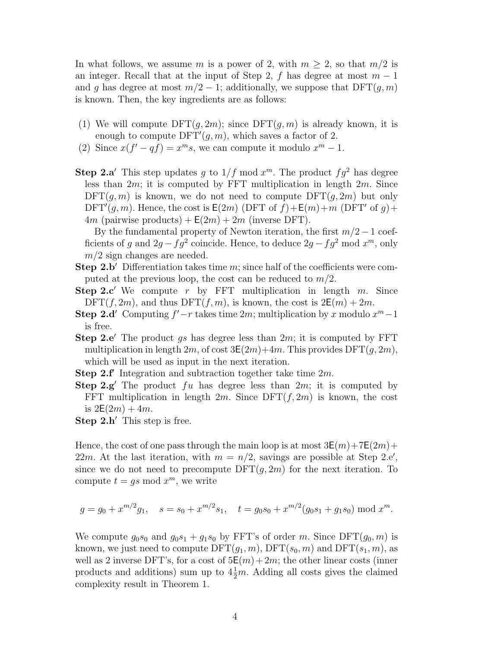In what follows, we assume m is a power of 2, with  $m > 2$ , so that  $m/2$  is an integer. Recall that at the input of Step 2, f has degree at most  $m-1$ and g has degree at most  $m/2 - 1$ ; additionally, we suppose that  $\text{DFT}(g, m)$ is known. Then, the key ingredients are as follows:

- (1) We will compute  $\text{DFT}(q, 2m)$ ; since  $\text{DFT}(q, m)$  is already known, it is enough to compute  $\text{DFT}'(g, m)$ , which saves a factor of 2.
- (2) Since  $x(f'-qf) = x^m s$ , we can compute it modulo  $x^m 1$ .
- **Step 2.a'** This step updates g to  $1/f$  mod  $x^m$ . The product  $fg^2$  has degree less than  $2m$ ; it is computed by FFT multiplication in length  $2m$ . Since  $\mathrm{DFT}(q,m)$  is known, we do not need to compute  $\mathrm{DFT}(q,2m)$  but only  $\text{DFT}'(g, m)$ . Hence, the cost is  $\mathsf{E}(2m)$  (DFT of  $f$ )+ $\mathsf{E}(m)$ + $m$  (DFT' of  $g$ )+ 4m (pairwise products) +  $E(2m) + 2m$  (inverse DFT).

By the fundamental property of Newton iteration, the first  $m/2 - 1$  coefficients of g and  $2g - fg^2$  coincide. Hence, to deduce  $2g - fg^2$  mod  $x^m$ , only  $m/2$  sign changes are needed.

- **Step 2.b** Differentiation takes time m; since half of the coefficients were computed at the previous loop, the cost can be reduced to  $m/2$ .
- **Step 2.c'** We compute r by FFT multiplication in length m. Since  $DFT(f, 2m)$ , and thus  $DFT(f, m)$ , is known, the cost is  $2E(m) + 2m$ .
- Step 2.d' Computing  $f'-r$  takes time 2m; multiplication by x modulo  $x^m-1$ is free.
- **Step 2.e**. The product *qs* has degree less than  $2m$ ; it is computed by FFT multiplication in length  $2m$ , of cost  $3E(2m)+4m$ . This provides  $DFT(g, 2m)$ , which will be used as input in the next iteration.
- Step 2.f' Integration and subtraction together take time  $2m$ .
- **Step 2.g'** The product fu has degree less than  $2m$ ; it is computed by FFT multiplication in length  $2m$ . Since  $\text{DFT}(f, 2m)$  is known, the cost is  $2E(2m) + 4m$ .
- **Step 2.h'** This step is free.

Hence, the cost of one pass through the main loop is at most  $3E(m)+7E(2m)+$ 22m. At the last iteration, with  $m = n/2$ , savings are possible at Step 2.e', since we do not need to precompute  $\text{DFT}(g, 2m)$  for the next iteration. To compute  $t = gs \mod x^m$ , we write

$$
g = g_0 + x^{m/2}g_1
$$
,  $s = s_0 + x^{m/2}s_1$ ,  $t = g_0s_0 + x^{m/2}(g_0s_1 + g_1s_0) \mod x^m$ .

We compute  $g_0s_0$  and  $g_0s_1 + g_1s_0$  by FFT's of order m. Since DFT $(g_0, m)$  is known, we just need to compute  $\text{DFT}(g_1, m)$ ,  $\text{DFT}(s_0, m)$  and  $\text{DFT}(s_1, m)$ , as well as 2 inverse DFT's, for a cost of  $5E(m) + 2m$ ; the other linear costs (inner products and additions) sum up to  $4\frac{1}{2}m$ . Adding all costs gives the claimed complexity result in Theorem 1.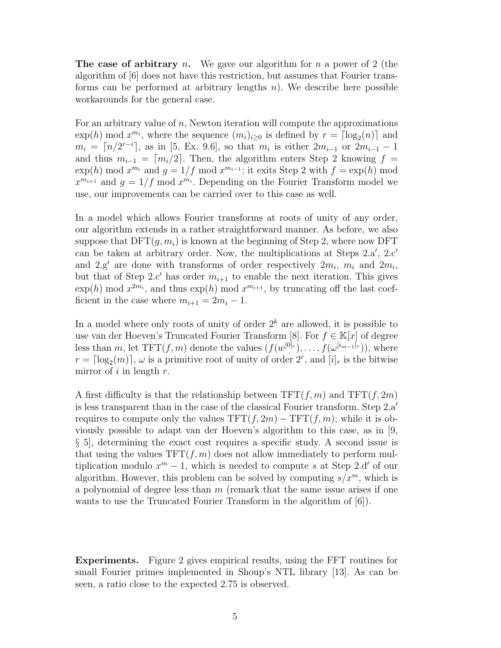**The case of arbitrary** n. We gave our algorithm for n a power of 2 (the algorithm of [6] does not have this restriction, but assumes that Fourier transforms can be performed at arbitrary lengths  $n$ ). We describe here possible workarounds for the general case.

For an arbitrary value of  $n$ , Newton iteration will compute the approximations  $\exp(h) \mod x^{m_i}$ , where the sequence  $(m_i)_{i\geq 0}$  is defined by  $r = \lceil \log_2(n) \rceil$  and  $m_i = \lceil n/2^{r-i} \rceil$ , as in [5, Ex. 9.6], so that  $m_i$  is either  $2m_{i-1}$  or  $2m_{i-1} - 1$ and thus  $m_{i-1} = \lfloor m_i/2 \rfloor$ . Then, the algorithm enters Step 2 knowing  $f =$  $\exp(h) \mod x^{m_i}$  and  $g = 1/f \mod x^{m_{i-1}}$ ; it exits Step 2 with  $f = \exp(h) \mod x^{m_i}$  $x^{m_{i+1}}$  and  $g = 1/f$  mod  $x^{m_i}$ . Depending on the Fourier Transform model we use, our improvements can be carried over to this case as well.

In a model which allows Fourier transforms at roots of unity of any order, our algorithm extends in a rather straightforward manner. As before, we also suppose that  $DFT(q, m_i)$  is known at the beginning of Step 2, where now DFT can be taken at arbitrary order. Now, the multiplications at Steps  $2.a', 2.c'$ and  $2.g'$  are done with transforms of order respectively  $2m_i$ ,  $m_i$  and  $2m_i$ , but that of Step 2.c' has order  $m_{i+1}$  to enable the next iteration. This gives  $\exp(h) \mod x^{2m_i}$ , and thus  $\exp(h) \mod x^{m_{i+1}}$ , by truncating off the last coefficient in the case where  $m_{i+1} = 2m_i - 1$ .

In a model where only roots of unity of order  $2^k$  are allowed, it is possible to use van der Hoeven's Truncated Fourier Transform [8]. For  $f \in \mathbb{K}[x]$  of degree less than m, let  $TFT(f, m)$  denote the values  $(f(w^{[0]_r}), \ldots, f(w^{[i_{m-1}]_r}))$ , where  $r = \lceil \log_2(m) \rceil$ ,  $\omega$  is a primitive root of unity of order  $2^r$ , and  $[i]_r$  is the bitwise mirror of i in length  $r$ .

A first difficulty is that the relationship between  $TFT(f, m)$  and  $TFT(f, 2m)$ is less transparent than in the case of the classical Fourier transform. Step  $2.a'$ requires to compute only the values  $TFT(f, 2m) - TFT(f, m)$ ; while it is obviously possible to adapt van der Hoeven's algorithm to this case, as in [9, § 5], determining the exact cost requires a specific study. A second issue is that using the values  $TFT(f, m)$  does not allow immediately to perform multiplication modulo  $x^m - 1$ , which is needed to compute s at Step 2.d' of our algorithm. However, this problem can be solved by computing  $s/x^m$ , which is a polynomial of degree less than  $m$  (remark that the same issue arises if one wants to use the Truncated Fourier Transform in the algorithm of [6]).

Experiments. Figure 2 gives empirical results, using the FFT routines for small Fourier primes implemented in Shoup's NTL library [13]. As can be seen, a ratio close to the expected 2.75 is observed.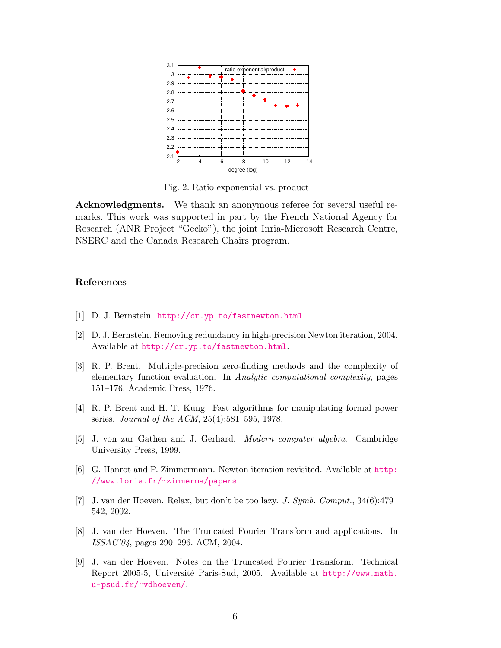

Fig. 2. Ratio exponential vs. product

Acknowledgments. We thank an anonymous referee for several useful remarks. This work was supported in part by the French National Agency for Research (ANR Project "Gecko"), the joint Inria-Microsoft Research Centre, NSERC and the Canada Research Chairs program.

## References

- [1] D. J. Bernstein. <http://cr.yp.to/fastnewton.html>.
- [2] D. J. Bernstein. Removing redundancy in high-precision Newton iteration, 2004. Available at <http://cr.yp.to/fastnewton.html>.
- [3] R. P. Brent. Multiple-precision zero-finding methods and the complexity of elementary function evaluation. In Analytic computational complexity, pages 151–176. Academic Press, 1976.
- [4] R. P. Brent and H. T. Kung. Fast algorithms for manipulating formal power series. Journal of the ACM, 25(4):581–595, 1978.
- [5] J. von zur Gathen and J. Gerhard. Modern computer algebra. Cambridge University Press, 1999.
- [6] G. Hanrot and P. Zimmermann. Newton iteration revisited. Available at [http:](http://www.loria.fr/~zimmerma/papers) [//www.loria.fr/~zimmerma/papers](http://www.loria.fr/~zimmerma/papers).
- [7] J. van der Hoeven. Relax, but don't be too lazy. J. Symb. Comput., 34(6):479– 542, 2002.
- [8] J. van der Hoeven. The Truncated Fourier Transform and applications. In ISSAC'04, pages 290–296. ACM, 2004.
- [9] J. van der Hoeven. Notes on the Truncated Fourier Transform. Technical Report 2005-5, Université Paris-Sud, 2005. Available at [http://www.math.](http://www.math.u-psud.fr/~vdhoeven/) [u-psud.fr/~vdhoeven/](http://www.math.u-psud.fr/~vdhoeven/).